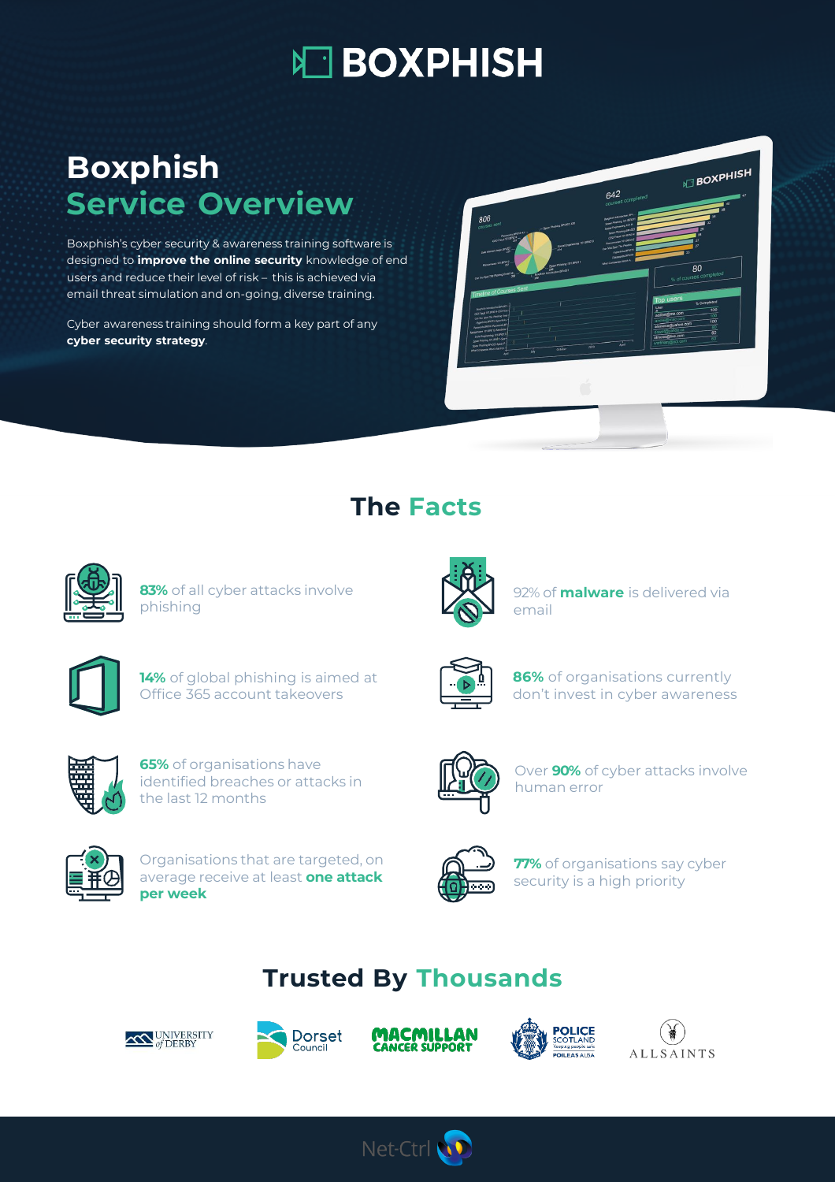# **NO BOXPHISH**

## **Boxphish Service Overview**

Boxphish's cyber security & awareness training software is designed to **improve the online security** knowledge of end users and reduce their level of risk – this is achieved via email threat simulation and on-going, diverse training.

Cyber awareness training should form a key part of any **cyber security strategy**.

|                                                                                                                                             |                                                            | 642<br>courses completed                                                                     | <b>BOXPHISH</b>                                                                        |
|---------------------------------------------------------------------------------------------------------------------------------------------|------------------------------------------------------------|----------------------------------------------------------------------------------------------|----------------------------------------------------------------------------------------|
| 806                                                                                                                                         |                                                            | (keptre) introduction.pply<br>Spoor Phishing 101.6/2011                                      | $\omega$<br>u<br>ŵ                                                                     |
| courses sent<br>CEO Fraud 101 BP-016-43                                                                                                     | - Seour Phiabing Bought 426                                | Social Engineering 121.8<br>Spear Phishing (IPv203)<br>CFO Frant 101 8P014                   | 29<br>28<br>27                                                                         |
| Sale Internet Useph EPV027                                                                                                                  | Social Engineering 101.8PQ13                               | <b>Reservate 121,00012</b><br>Can You Spot The Photos<br>However, BPID15<br>Passwords SP/215 | $\overline{27}$<br>23                                                                  |
| Rancomman 121 89012                                                                                                                         | Supram association (2010)<br>The Supram association (2010) | What Companies World.                                                                        | 80                                                                                     |
| Can You Spot The Philadelp Email P.B.                                                                                                       |                                                            |                                                                                              | % of courses completed                                                                 |
| Timeline of Courses Sent                                                                                                                    |                                                            |                                                                                              | Top users<br>% Completed                                                               |
| <b>Boyhin Intoduction BMAYS 2</b><br>CEO Fraud 101 BRIDGE CEO Frau -<br>Can You Spot The Photing Ema-                                       |                                                            |                                                                                              | User<br>$\overline{100}$<br>adilon@me.com<br>$\frac{1}{100}$<br>andrei@mac.com         |
| <b>Monticks.BRC15 HyperSole</b><br>Persenta BNN6 Passwords BP 1<br><b>Kansomaare tot and to Aproxime +</b><br>Social Engineering ES1, ENC13 |                                                            |                                                                                              | 100<br>ateniese@yahoo.com<br>$\overline{60}$<br>drezet@yahoo.ca<br>$\overline{\omega}$ |
| Spear Phishing 101 pmg 1 1 Spe-<br>Spear Phishing (PM22-Spear P<br>What Companies Mon't Ask For. 1                                          | October                                                    | April<br>x <sub>0</sub>                                                                      | simone@live.com<br>60<br>wortmani@pol.com                                              |
| April                                                                                                                                       | بقد                                                        |                                                                                              |                                                                                        |

#### **The Facts**



**83%** of all cyber attacks involve phishing



92% of **malware** is delivered via email



**14%** of global phishing is aimed at Office 365 account takeovers



**86%** of organisations currently don't invest in cyber awareness



**65%** of organisations have identified breaches or attacks in the last 12 months



Organisations that are targeted, on average receive at least **one attack per week**



Over **90%** of cyber attacks involve human error



**77%** of organisations say cyber security is a high priority

### **Trusted By Thousands**







Net-Ctrl